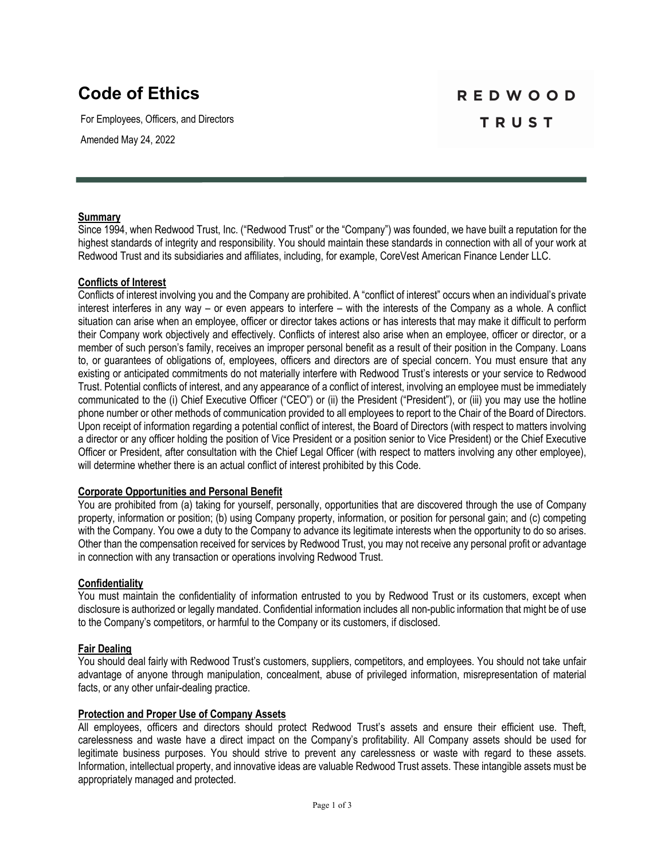# **Code of Ethics**

For Employees, Officers, and Directors

Amended May 24, 2022

# **REDWOOD TRUST**

### **Summary**

Since 1994, when Redwood Trust, Inc. ("Redwood Trust" or the "Company") was founded, we have built a reputation for the highest standards of integrity and responsibility. You should maintain these standards in connection with all of your work at Redwood Trust and its subsidiaries and affiliates, including, for example, CoreVest American Finance Lender LLC.

### **Conflicts of Interest**

Conflicts of interest involving you and the Company are prohibited. A "conflict of interest" occurs when an individual's private interest interferes in any way – or even appears to interfere – with the interests of the Company as a whole. A conflict situation can arise when an employee, officer or director takes actions or has interests that may make it difficult to perform their Company work objectively and effectively. Conflicts of interest also arise when an employee, officer or director, or a member of such person's family, receives an improper personal benefit as a result of their position in the Company. Loans to, or guarantees of obligations of, employees, officers and directors are of special concern. You must ensure that any existing or anticipated commitments do not materially interfere with Redwood Trust's interests or your service to Redwood Trust. Potential conflicts of interest, and any appearance of a conflict of interest, involving an employee must be immediately communicated to the (i) Chief Executive Officer ("CEO") or (ii) the President ("President"), or (iii) you may use the hotline phone number or other methods of communication provided to all employees to report to the Chair of the Board of Directors. Upon receipt of information regarding a potential conflict of interest, the Board of Directors (with respect to matters involving a director or any officer holding the position of Vice President or a position senior to Vice President) or the Chief Executive Officer or President, after consultation with the Chief Legal Officer (with respect to matters involving any other employee), will determine whether there is an actual conflict of interest prohibited by this Code.

#### **Corporate Opportunities and Personal Benefit**

You are prohibited from (a) taking for yourself, personally, opportunities that are discovered through the use of Company property, information or position; (b) using Company property, information, or position for personal gain; and (c) competing with the Company. You owe a duty to the Company to advance its legitimate interests when the opportunity to do so arises. Other than the compensation received for services by Redwood Trust, you may not receive any personal profit or advantage in connection with any transaction or operations involving Redwood Trust.

# **Confidentiality**

You must maintain the confidentiality of information entrusted to you by Redwood Trust or its customers, except when disclosure is authorized or legally mandated. Confidential information includes all non-public information that might be of use to the Company's competitors, or harmful to the Company or its customers, if disclosed.

#### **Fair Dealing**

You should deal fairly with Redwood Trust's customers, suppliers, competitors, and employees. You should not take unfair advantage of anyone through manipulation, concealment, abuse of privileged information, misrepresentation of material facts, or any other unfair-dealing practice.

#### **Protection and Proper Use of Company Assets**

All employees, officers and directors should protect Redwood Trust's assets and ensure their efficient use. Theft, carelessness and waste have a direct impact on the Company's profitability. All Company assets should be used for legitimate business purposes. You should strive to prevent any carelessness or waste with regard to these assets. Information, intellectual property, and innovative ideas are valuable Redwood Trust assets. These intangible assets must be appropriately managed and protected.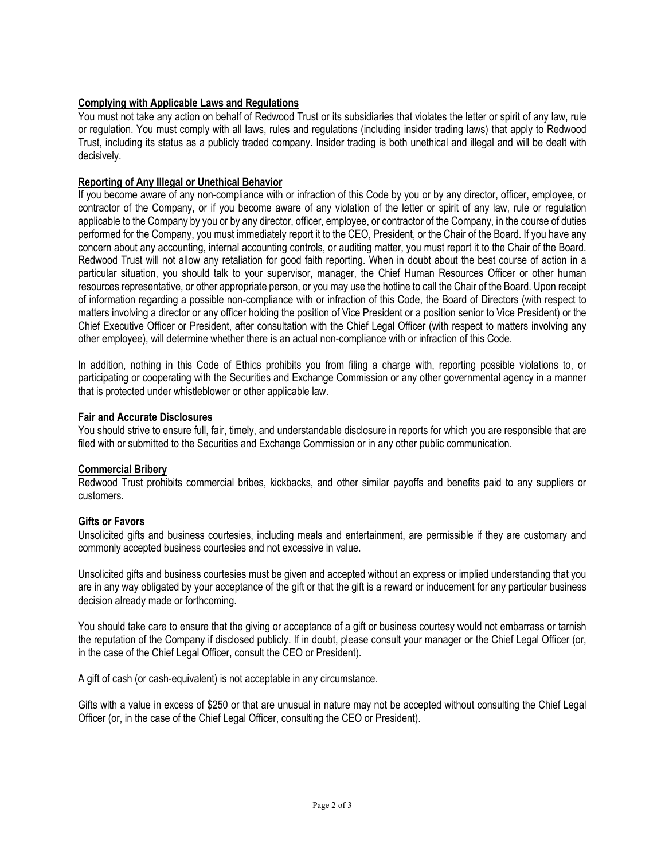# **Complying with Applicable Laws and Regulations**

You must not take any action on behalf of Redwood Trust or its subsidiaries that violates the letter or spirit of any law, rule or regulation. You must comply with all laws, rules and regulations (including insider trading laws) that apply to Redwood Trust, including its status as a publicly traded company. Insider trading is both unethical and illegal and will be dealt with decisively.

# **Reporting of Any Illegal or Unethical Behavior**

If you become aware of any non-compliance with or infraction of this Code by you or by any director, officer, employee, or contractor of the Company, or if you become aware of any violation of the letter or spirit of any law, rule or regulation applicable to the Company by you or by any director, officer, employee, or contractor of the Company, in the course of duties performed for the Company, you must immediately report it to the CEO, President, or the Chair of the Board. If you have any concern about any accounting, internal accounting controls, or auditing matter, you must report it to the Chair of the Board. Redwood Trust will not allow any retaliation for good faith reporting. When in doubt about the best course of action in a particular situation, you should talk to your supervisor, manager, the Chief Human Resources Officer or other human resources representative, or other appropriate person, or you may use the hotline to call the Chair of the Board. Upon receipt of information regarding a possible non-compliance with or infraction of this Code, the Board of Directors (with respect to matters involving a director or any officer holding the position of Vice President or a position senior to Vice President) or the Chief Executive Officer or President, after consultation with the Chief Legal Officer (with respect to matters involving any other employee), will determine whether there is an actual non-compliance with or infraction of this Code.

In addition, nothing in this Code of Ethics prohibits you from filing a charge with, reporting possible violations to, or participating or cooperating with the Securities and Exchange Commission or any other governmental agency in a manner that is protected under whistleblower or other applicable law.

### **Fair and Accurate Disclosures**

You should strive to ensure full, fair, timely, and understandable disclosure in reports for which you are responsible that are filed with or submitted to the Securities and Exchange Commission or in any other public communication.

# **Commercial Bribery**

Redwood Trust prohibits commercial bribes, kickbacks, and other similar payoffs and benefits paid to any suppliers or customers.

#### **Gifts or Favors**

Unsolicited gifts and business courtesies, including meals and entertainment, are permissible if they are customary and commonly accepted business courtesies and not excessive in value.

Unsolicited gifts and business courtesies must be given and accepted without an express or implied understanding that you are in any way obligated by your acceptance of the gift or that the gift is a reward or inducement for any particular business decision already made or forthcoming.

You should take care to ensure that the giving or acceptance of a gift or business courtesy would not embarrass or tarnish the reputation of the Company if disclosed publicly. If in doubt, please consult your manager or the Chief Legal Officer (or, in the case of the Chief Legal Officer, consult the CEO or President).

A gift of cash (or cash-equivalent) is not acceptable in any circumstance.

Gifts with a value in excess of \$250 or that are unusual in nature may not be accepted without consulting the Chief Legal Officer (or, in the case of the Chief Legal Officer, consulting the CEO or President).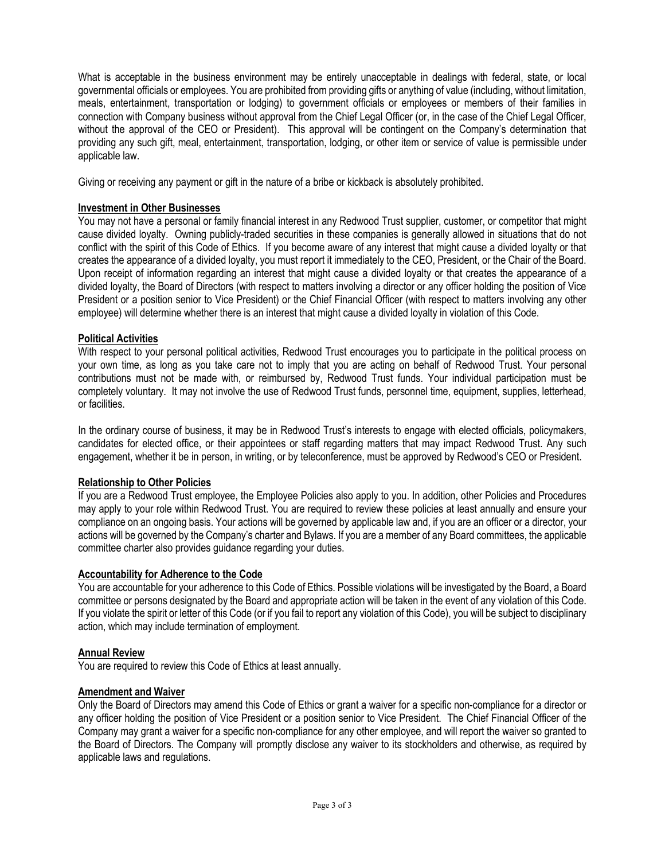What is acceptable in the business environment may be entirely unacceptable in dealings with federal, state, or local governmental officials or employees. You are prohibited from providing gifts or anything of value (including, without limitation, meals, entertainment, transportation or lodging) to government officials or employees or members of their families in connection with Company business without approval from the Chief Legal Officer (or, in the case of the Chief Legal Officer, without the approval of the CEO or President). This approval will be contingent on the Company's determination that providing any such gift, meal, entertainment, transportation, lodging, or other item or service of value is permissible under applicable law.

Giving or receiving any payment or gift in the nature of a bribe or kickback is absolutely prohibited.

### **Investment in Other Businesses**

You may not have a personal or family financial interest in any Redwood Trust supplier, customer, or competitor that might cause divided loyalty. Owning publicly-traded securities in these companies is generally allowed in situations that do not conflict with the spirit of this Code of Ethics. If you become aware of any interest that might cause a divided loyalty or that creates the appearance of a divided loyalty, you must report it immediately to the CEO, President, or the Chair of the Board. Upon receipt of information regarding an interest that might cause a divided loyalty or that creates the appearance of a divided loyalty, the Board of Directors (with respect to matters involving a director or any officer holding the position of Vice President or a position senior to Vice President) or the Chief Financial Officer (with respect to matters involving any other employee) will determine whether there is an interest that might cause a divided loyalty in violation of this Code.

### **Political Activities**

With respect to your personal political activities, Redwood Trust encourages you to participate in the political process on your own time, as long as you take care not to imply that you are acting on behalf of Redwood Trust. Your personal contributions must not be made with, or reimbursed by, Redwood Trust funds. Your individual participation must be completely voluntary. It may not involve the use of Redwood Trust funds, personnel time, equipment, supplies, letterhead, or facilities.

In the ordinary course of business, it may be in Redwood Trust's interests to engage with elected officials, policymakers, candidates for elected office, or their appointees or staff regarding matters that may impact Redwood Trust. Any such engagement, whether it be in person, in writing, or by teleconference, must be approved by Redwood's CEO or President.

# **Relationship to Other Policies**

If you are a Redwood Trust employee, the Employee Policies also apply to you. In addition, other Policies and Procedures may apply to your role within Redwood Trust. You are required to review these policies at least annually and ensure your compliance on an ongoing basis. Your actions will be governed by applicable law and, if you are an officer or a director, your actions will be governed by the Company's charter and Bylaws. If you are a member of any Board committees, the applicable committee charter also provides guidance regarding your duties.

#### **Accountability for Adherence to the Code**

You are accountable for your adherence to this Code of Ethics. Possible violations will be investigated by the Board, a Board committee or persons designated by the Board and appropriate action will be taken in the event of any violation of this Code. If you violate the spirit or letter of this Code (or if you fail to report any violation of this Code), you will be subject to disciplinary action, which may include termination of employment.

#### **Annual Review**

You are required to review this Code of Ethics at least annually.

#### **Amendment and Waiver**

Only the Board of Directors may amend this Code of Ethics or grant a waiver for a specific non-compliance for a director or any officer holding the position of Vice President or a position senior to Vice President. The Chief Financial Officer of the Company may grant a waiver for a specific non-compliance for any other employee, and will report the waiver so granted to the Board of Directors. The Company will promptly disclose any waiver to its stockholders and otherwise, as required by applicable laws and regulations.